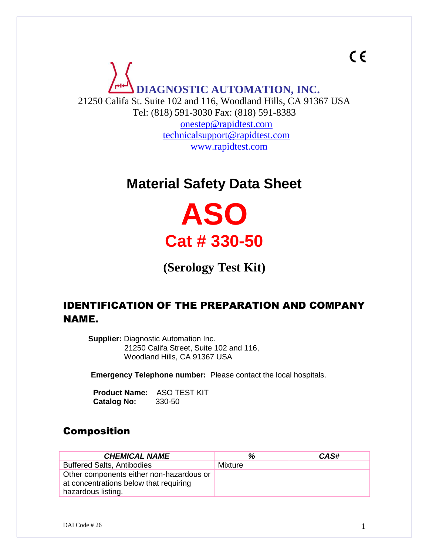**DIAGNOSTIC AUTOMATION, INC.** 21250 Califa St. Suite 102 and 116, Woodland Hills, CA 91367 USA Tel: (818) 591-3030 Fax: (818) 591-8383 [onestep@rapidtest.com](mailto:onestep@rapidtest.com) [technicalsupport@rapidtest.com](mailto:technicalsupport@rapidtest.com) www.rapidtest.com

# **Material Safety Data Sheet**

**ASO Cat # 330-50**

**(Serology Test Kit)**

#### IDENTIFICATION OF THE PREPARATION AND COMPANY NAME.

**Supplier:** Diagnostic Automation Inc. 21250 Califa Street, Suite 102 and 116, Woodland Hills, CA 91367 USA

 **Emergency Telephone number:** Please contact the local hospitals.

 **Product Name:** ASO TEST KIT  **Catalog No:** 330-50

#### Composition

| <b>CHEMICAL NAME</b>                                                               | %       | CAS# |
|------------------------------------------------------------------------------------|---------|------|
| <b>Buffered Salts, Antibodies</b>                                                  | Mixture |      |
| Other components either non-hazardous or<br>at concentrations below that requiring |         |      |
| hazardous listing.                                                                 |         |      |

 $C \in$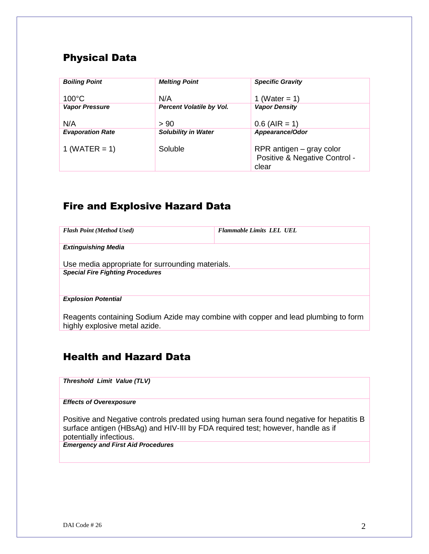#### Physical Data

| <b>Boiling Point</b>    | <b>Melting Point</b>            | <b>Specific Gravity</b>                                            |
|-------------------------|---------------------------------|--------------------------------------------------------------------|
| $100^{\circ}$ C         | N/A                             | 1 (Water = 1)                                                      |
| <b>Vapor Pressure</b>   | <b>Percent Volatile by Vol.</b> | <b>Vapor Density</b>                                               |
| N/A                     | > 90                            | $0.6$ (AIR = 1)                                                    |
| <b>Evaporation Rate</b> | <b>Solubility in Water</b>      | Appearance/Odor                                                    |
| 1 (WATER $= 1$ )        | Soluble                         | RPR antigen – gray color<br>Positive & Negative Control -<br>clear |

#### Fire and Explosive Hazard Data

| <b>Flash Point (Method Used)</b>                                                                                    | <b>Flammable Limits LEL UEL</b> |
|---------------------------------------------------------------------------------------------------------------------|---------------------------------|
| <b>Extinguishing Media</b>                                                                                          |                                 |
| Use media appropriate for surrounding materials.                                                                    |                                 |
| <b>Special Fire Fighting Procedures</b>                                                                             |                                 |
| <b>Explosion Potential</b>                                                                                          |                                 |
| Reagents containing Sodium Azide may combine with copper and lead plumbing to form<br>highly explosive metal azide. |                                 |

#### Health and Hazard Data

*Threshold Limit Value (TLV)*

*Effects of Overexposure*

Positive and Negative controls predated using human sera found negative for hepatitis B surface antigen (HBsAg) and HIV-III by FDA required test; however, handle as if potentially infectious.

*Emergency and First Aid Procedures*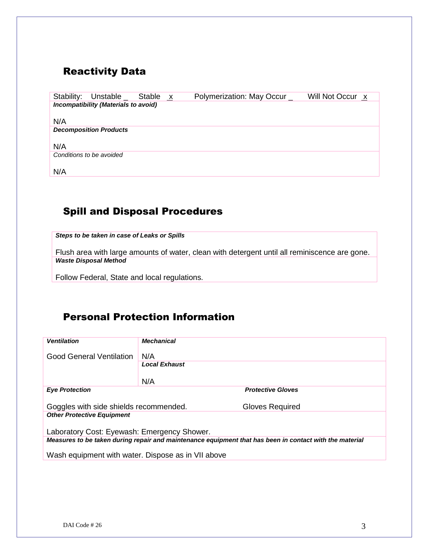#### Reactivity Data

| Stability: | Unstable _                           | Stable x | Polymerization: May Occur | Will Not Occur x |
|------------|--------------------------------------|----------|---------------------------|------------------|
|            | Incompatibility (Materials to avoid) |          |                           |                  |
|            |                                      |          |                           |                  |
| N/A        |                                      |          |                           |                  |
|            | <b>Decomposition Products</b>        |          |                           |                  |
|            |                                      |          |                           |                  |
| N/A        |                                      |          |                           |                  |
|            | Conditions to be avoided             |          |                           |                  |
|            |                                      |          |                           |                  |
| N/A        |                                      |          |                           |                  |

#### Spill and Disposal Procedures

*Steps to be taken in case of Leaks or Spills*

Flush area with large amounts of water, clean with detergent until all reminiscence are gone. *Waste Disposal Method*

Follow Federal, State and local regulations.

#### Personal Protection Information

| <b>Ventilation</b>                                                                                      | Mechanical           |                          |
|---------------------------------------------------------------------------------------------------------|----------------------|--------------------------|
| Good General Ventilation                                                                                | N/A                  |                          |
|                                                                                                         | <b>Local Exhaust</b> |                          |
|                                                                                                         | N/A                  |                          |
| <b>Eye Protection</b>                                                                                   |                      | <b>Protective Gloves</b> |
| Goggles with side shields recommended.                                                                  |                      | Gloves Required          |
| <b>Other Protective Equipment</b>                                                                       |                      |                          |
| Laboratory Cost: Eyewash: Emergency Shower.                                                             |                      |                          |
| Measures to be taken during repair and maintenance equipment that has been in contact with the material |                      |                          |
| Wash equipment with water. Dispose as in VII above                                                      |                      |                          |